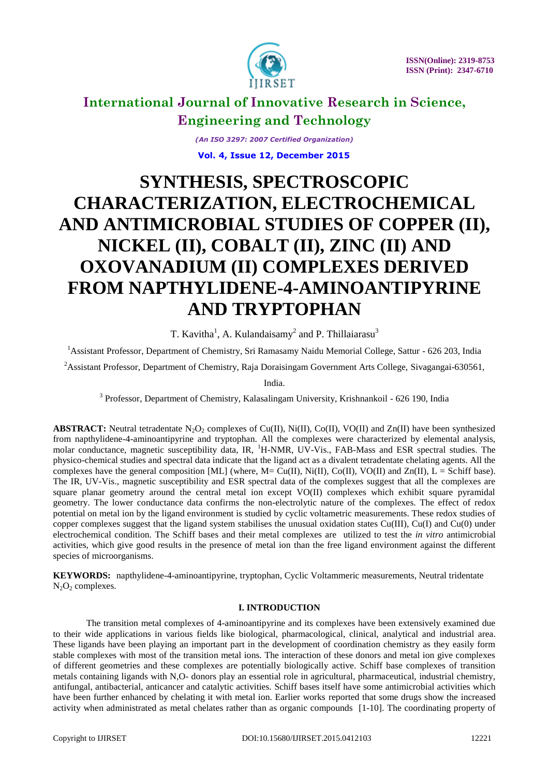

*(An ISO 3297: 2007 Certified Organization)*

 **Vol. 4, Issue 12, December 2015**

# **SYNTHESIS, SPECTROSCOPIC CHARACTERIZATION, ELECTROCHEMICAL AND ANTIMICROBIAL STUDIES OF COPPER (II), NICKEL (II), COBALT (II), ZINC (II) AND OXOVANADIUM (II) COMPLEXES DERIVED FROM NAPTHYLIDENE-4-AMINOANTIPYRINE AND TRYPTOPHAN**

T. Kavitha<sup>1</sup>, A. Kulandaisamy<sup>2</sup> and P. Thillaiarasu<sup>3</sup>

<sup>1</sup> Assistant Professor, Department of Chemistry, Sri Ramasamy Naidu Memorial College, Sattur - 626 203, India

<sup>2</sup> Assistant Professor, Department of Chemistry, Raja Doraisingam Government Arts College, Sivagangai-630561,

India.

<sup>3</sup> Professor, Department of Chemistry, Kalasalingam University, Krishnankoil - 626 190, India

**ABSTRACT:** Neutral tetradentate  $N_2O_2$  complexes of Cu(II), Ni(II), Co(II), VO(II) and Zn(II) have been synthesized from napthylidene-4-aminoantipyrine and tryptophan. All the complexes were characterized by elemental analysis, molar conductance, magnetic susceptibility data, IR, <sup>1</sup>H-NMR, UV-Vis., FAB-Mass and ESR spectral studies. The physico-chemical studies and spectral data indicate that the ligand act as a divalent tetradentate chelating agents. All the complexes have the general composition [ML] (where,  $M = Cu(II)$ , Ni(II), Co(II), VO(II) and Zn(II), L = Schiff base). The IR, UV-Vis., magnetic susceptibility and ESR spectral data of the complexes suggest that all the complexes are square planar geometry around the central metal ion except VO(II) complexes which exhibit square pyramidal geometry. The lower conductance data confirms the non-electrolytic nature of the complexes. The effect of redox potential on metal ion by the ligand environment is studied by cyclic voltametric measurements. These redox studies of copper complexes suggest that the ligand system stabilises the unusual oxidation states  $Cu(III)$ ,  $Cu(I)$  and  $Cu(0)$  under electrochemical condition. The Schiff bases and their metal complexes are utilized to test the *in vitro* antimicrobial activities, which give good results in the presence of metal ion than the free ligand environment against the different species of microorganisms.

**KEYWORDS:** napthylidene-4-aminoantipyrine, tryptophan, Cyclic Voltammeric measurements, Neutral tridentate N<sub>2</sub>O<sub>2</sub> complexes.

# **I. INTRODUCTION**

The transition metal complexes of 4-aminoantipyrine and its complexes have been extensively examined due to their wide applications in various fields like biological, pharmacological, clinical, analytical and industrial area. These ligands have been playing an important part in the development of coordination chemistry as they easily form stable complexes with most of the transition metal ions. The interaction of these donors and metal ion give complexes of different geometries and these complexes are potentially biologically active. Schiff base complexes of transition metals containing ligands with N,O- donors play an essential role in agricultural, pharmaceutical, industrial chemistry, antifungal, antibacterial, anticancer and catalytic activities. Schiff bases itself have some antimicrobial activities which have been further enhanced by chelating it with metal ion. Earlier works reported that some drugs show the increased activity when administrated as metal chelates rather than as organic compounds [1-10]. The coordinating property of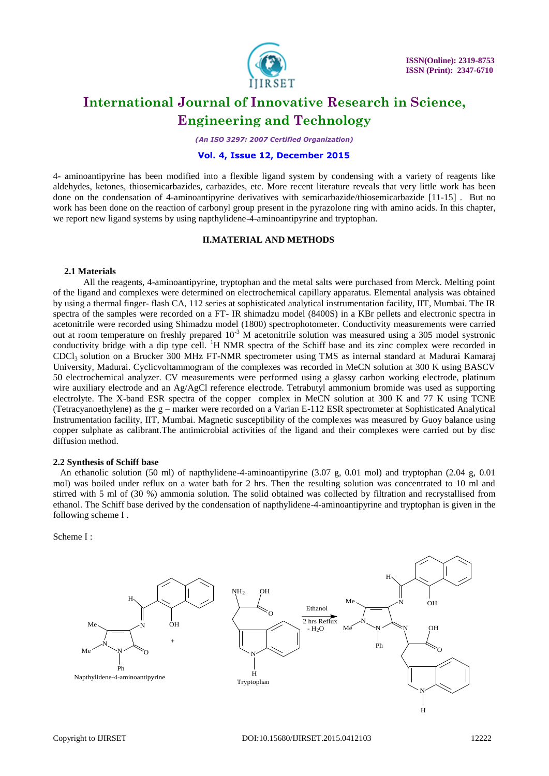

*(An ISO 3297: 2007 Certified Organization)*

### **Vol. 4, Issue 12, December 2015**

4- aminoantipyrine has been modified into a flexible ligand system by condensing with a variety of reagents like aldehydes, ketones, thiosemicarbazides, carbazides, etc. More recent literature reveals that very little work has been done on the condensation of 4-aminoantipyrine derivatives with semicarbazide/thiosemicarbazide [11-15] . But no work has been done on the reaction of carbonyl group present in the pyrazolone ring with amino acids. In this chapter, we report new ligand systems by using napthylidene-4-aminoantipyrine and tryptophan.

### **II.MATERIAL AND METHODS**

#### **2.1 Materials**

All the reagents, 4-aminoantipyrine, tryptophan and the metal salts were purchased from Merck. Melting point of the ligand and complexes were determined on electrochemical capillary apparatus. Elemental analysis was obtained by using a thermal finger- flash CA, 112 series at sophisticated analytical instrumentation facility, IIT, Mumbai. The IR spectra of the samples were recorded on a FT- IR shimadzu model (8400S) in a KBr pellets and electronic spectra in acetonitrile were recorded using Shimadzu model (1800) spectrophotometer. Conductivity measurements were carried out at room temperature on freshly prepared 10-3 M acetonitrile solution was measured using a 305 model systronic conductivity bridge with a dip type cell. <sup>1</sup>H NMR spectra of the Schiff base and its zinc complex were recorded in CDCl3 solution on a Brucker 300 MHz FT-NMR spectrometer using TMS as internal standard at Madurai Kamaraj University, Madurai. Cyclicvoltammogram of the complexes was recorded in MeCN solution at 300 K using BASCV 50 electrochemical analyzer. CV measurements were performed using a glassy carbon working electrode, platinum wire auxiliary electrode and an Ag/AgCl reference electrode. Tetrabutyl ammonium bromide was used as supporting electrolyte. The X-band ESR spectra of the copper complex in MeCN solution at 300 K and 77 K using TCNE (Tetracyanoethylene) as the g – marker were recorded on a Varian E-112 ESR spectrometer at Sophisticated Analytical Instrumentation facility, IIT, Mumbai. Magnetic susceptibility of the complexes was measured by Guoy balance using copper sulphate as calibrant.The antimicrobial activities of the ligand and their complexes were carried out by disc diffusion method.

#### **2.2 Synthesis of Schiff base**

 An ethanolic solution (50 ml) of napthylidene-4-aminoantipyrine (3.07 g, 0.01 mol) and tryptophan (2.04 g, 0.01 mol) was boiled under reflux on a water bath for 2 hrs. Then the resulting solution was concentrated to 10 ml and stirred with 5 ml of (30 %) ammonia solution. The solid obtained was collected by filtration and recrystallised from ethanol. The Schiff base derived by the condensation of napthylidene-4-aminoantipyrine and tryptophan is given in the following scheme I .

Scheme I :

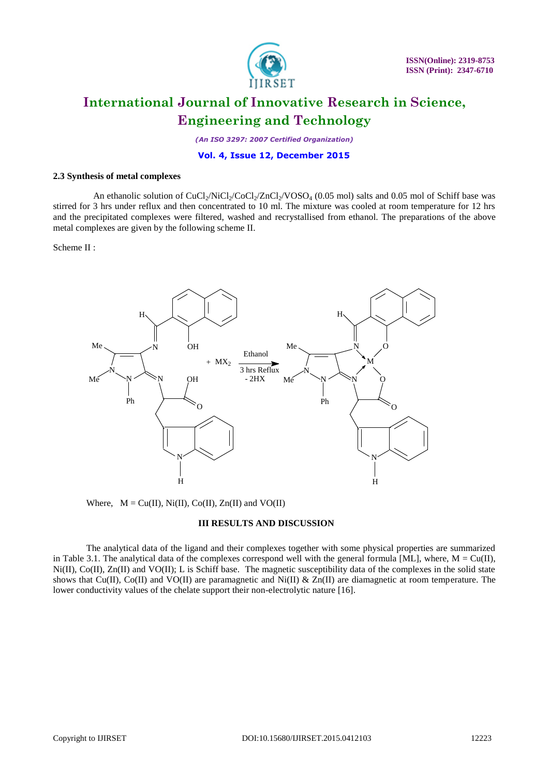

*(An ISO 3297: 2007 Certified Organization)*

### **Vol. 4, Issue 12, December 2015**

#### **2.3 Synthesis of metal complexes**

An ethanolic solution of CuCl<sub>2</sub>/NiCl<sub>2</sub>/CoCl<sub>2</sub>/ZnCl<sub>2</sub>/VOSO<sub>4</sub> (0.05 mol) salts and 0.05 mol of Schiff base was stirred for 3 hrs under reflux and then concentrated to 10 ml. The mixture was cooled at room temperature for 12 hrs and the precipitated complexes were filtered, washed and recrystallised from ethanol. The preparations of the above metal complexes are given by the following scheme II.

Scheme II :



Where,  $M = Cu(II), Ni(II), Co(II), Zn(II)$  and  $VO(II)$ 

#### **III RESULTS AND DISCUSSION**

The analytical data of the ligand and their complexes together with some physical properties are summarized in Table 3.1. The analytical data of the complexes correspond well with the general formula [ML], where,  $M = Cu(II)$ , Ni(II), Co(II), Zn(II) and VO(II); L is Schiff base. The magnetic susceptibility data of the complexes in the solid state shows that Cu(II), Co(II) and VO(II) are paramagnetic and Ni(II) & Zn(II) are diamagnetic at room temperature. The lower conductivity values of the chelate support their non-electrolytic nature [16].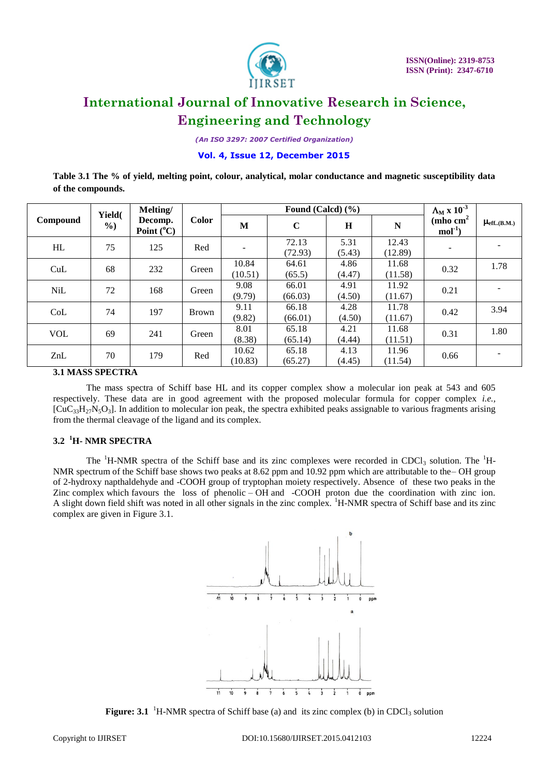

*(An ISO 3297: 2007 Certified Organization)*

### **Vol. 4, Issue 12, December 2015**

**Table 3.1 The % of yield, melting point, colour, analytical, molar conductance and magnetic susceptibility data of the compounds.**

|            | Yield(        | Melting/                       |              |                  | Found (Calcd) $(\% )$ | $\Lambda_{\rm M}$ x $10^{-3}$ |                  |                       |                       |
|------------|---------------|--------------------------------|--------------|------------------|-----------------------|-------------------------------|------------------|-----------------------|-----------------------|
| Compound   | $\frac{6}{2}$ | Decomp.<br>Point $(^{\circ}C)$ | <b>Color</b> | M                | $\mathbf C$           | $\bf H$                       | ${\bf N}$        | (mho $cm2$<br>$mol-1$ | $\mu_{\rm eff(B.M.)}$ |
| HL         | 75            | 125                            | Red          |                  | 72.13<br>(72.93)      | 5.31<br>(5.43)                | 12.43<br>(12.89) |                       |                       |
| CuL        | 68            | 232                            | Green        | 10.84<br>(10.51) | 64.61<br>(65.5)       | 4.86<br>(4.47)                | 11.68<br>(11.58) | 0.32                  | 1.78                  |
| <b>NiL</b> | 72            | 168                            | Green        | 9.08<br>(9.79)   | 66.01<br>(66.03)      | 4.91<br>(4.50)                | 11.92<br>(11.67) | 0.21                  |                       |
| CoL        | 74            | 197                            | <b>Brown</b> | 9.11<br>(9.82)   | 66.18<br>(66.01)      | 4.28<br>(4.50)                | 11.78<br>(11.67) | 0.42                  | 3.94                  |
| <b>VOL</b> | 69            | 241                            | Green        | 8.01<br>(8.38)   | 65.18<br>(65.14)      | 4.21<br>(4.44)                | 11.68<br>(11.51) | 0.31                  | 1.80                  |
| ZnL        | 70            | 179                            | Red          | 10.62<br>(10.83) | 65.18<br>(65.27)      | 4.13<br>(4.45)                | 11.96<br>(11.54) | 0.66                  |                       |

**3.1 MASS SPECTRA**

The mass spectra of Schiff base HL and its copper complex show a molecular ion peak at 543 and 605 respectively. These data are in good agreement with the proposed molecular formula for copper complex *i.e.,*  $[CuC_{33}H_{27}N_5O_3]$ . In addition to molecular ion peak, the spectra exhibited peaks assignable to various fragments arising from the thermal cleavage of the ligand and its complex.

# **3.2 <sup>1</sup>H- NMR SPECTRA**

The <sup>1</sup>H-NMR spectra of the Schiff base and its zinc complexes were recorded in CDCl<sub>3</sub> solution. The <sup>1</sup>H-NMR spectrum of the Schiff base shows two peaks at 8.62 ppm and 10.92 ppm which are attributable to the– OH group of 2-hydroxy napthaldehyde and -COOH group of tryptophan moiety respectively. Absence of these two peaks in the Zinc complex which favours the loss of phenolic – OH and -COOH proton due the coordination with zinc ion. A slight down field shift was noted in all other signals in the zinc complex. <sup>1</sup>H-NMR spectra of Schiff base and its zinc complex are given in Figure 3.1.



**Figure: 3.1** <sup>1</sup>H-NMR spectra of Schiff base (a) and its zinc complex (b) in CDCl<sub>3</sub> solution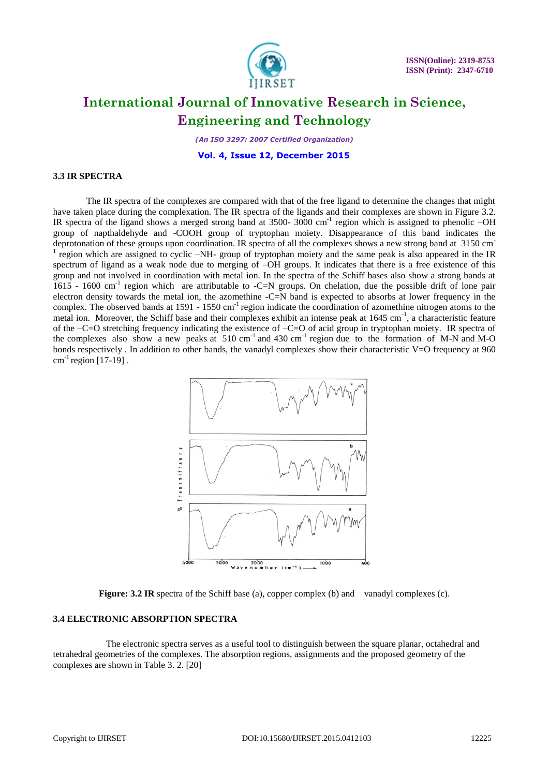

*(An ISO 3297: 2007 Certified Organization)*

 **Vol. 4, Issue 12, December 2015**

#### **3.3 IR SPECTRA**

The IR spectra of the complexes are compared with that of the free ligand to determine the changes that might have taken place during the complexation. The IR spectra of the ligands and their complexes are shown in Figure 3.2. IR spectra of the ligand shows a merged strong band at 3500- 3000 cm<sup>-1</sup> region which is assigned to phenolic -OH group of napthaldehyde and -COOH group of tryptophan moiety. Disappearance of this band indicates the deprotonation of these groups upon coordination. IR spectra of all the complexes shows a new strong band at 3150 cm-1 region which are assigned to cyclic –NH- group of tryptophan moiety and the same peak is also appeared in the IR spectrum of ligand as a weak node due to merging of –OH groups. It indicates that there is a free existence of this group and not involved in coordination with metal ion. In the spectra of the Schiff bases also show a strong bands at 1615 - 1600 cm<sup>-1</sup> region which are attributable to -C=N groups. On chelation, due the possible drift of lone pair electron density towards the metal ion, the azomethine -C=N band is expected to absorbs at lower frequency in the complex. The observed bands at  $1591 - 1550$  cm<sup>-1</sup> region indicate the coordination of azomethine nitrogen atoms to the metal ion. Moreover, the Schiff base and their complexes exhibit an intense peak at 1645 cm<sup>-1</sup>, a characteristic feature of the –C=O stretching frequency indicating the existence of –C=O of acid group in tryptophan moiety. IR spectra of the complexes also show a new peaks at  $510 \text{ cm}^{-1}$  and  $430 \text{ cm}^{-1}$  region due to the formation of M-N and M-O bonds respectively . In addition to other bands, the vanadyl complexes show their characteristic V=O frequency at 960  $cm^{-1}$  region [17-19].



**Figure: 3.2 IR** spectra of the Schiff base (a), copper complex (b) and vanadyl complexes (c).

#### **3.4 ELECTRONIC ABSORPTION SPECTRA**

The electronic spectra serves as a useful tool to distinguish between the square planar, octahedral and tetrahedral geometries of the complexes. The absorption regions, assignments and the proposed geometry of the complexes are shown in Table 3. 2. [20]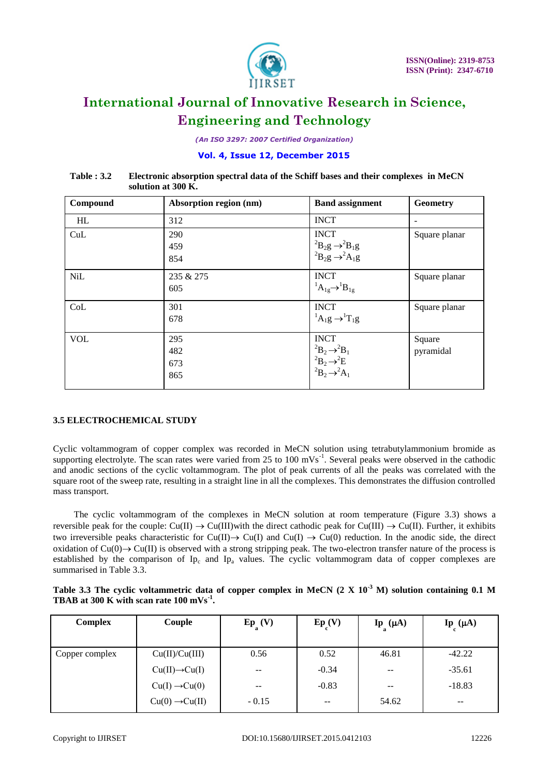

*(An ISO 3297: 2007 Certified Organization)*

# **Vol. 4, Issue 12, December 2015**

| Table : 3.2 | Electronic absorption spectral data of the Schiff bases and their complexes in MeCN |  |
|-------------|-------------------------------------------------------------------------------------|--|
|             | solution at 300 K.                                                                  |  |

| Compound   | Absorption region (nm)   | <b>Band assignment</b>                                                                           | Geometry            |
|------------|--------------------------|--------------------------------------------------------------------------------------------------|---------------------|
| <b>HL</b>  | 312                      | <b>INCT</b>                                                                                      | ۰                   |
| CuL        | 290<br>459<br>854        | <b>INCT</b><br>${}^{2}B_{2}g \rightarrow {}^{2}B_{1}g$<br>${}^2B_2g \rightarrow {}^2A_1g$        | Square planar       |
| <b>NiL</b> | 235 & 275<br>605         | <b>INCT</b><br>${}^1A_{1g} \rightarrow {}^1B_{1g}$                                               | Square planar       |
| CoL        | 301<br>678               | <b>INCT</b><br>${}^{1}A_{1}g \rightarrow {}^{1}T_{1}g$                                           | Square planar       |
| <b>VOL</b> | 295<br>482<br>673<br>865 | <b>INCT</b><br>${}^2B_2 \rightarrow {}^2B_1$<br>$2B_2 \rightarrow 2E$<br>$2B_2 \rightarrow 2A_1$ | Square<br>pyramidal |

# **3.5 ELECTROCHEMICAL STUDY**

Cyclic voltammogram of copper complex was recorded in MeCN solution using tetrabutylammonium bromide as supporting electrolyte. The scan rates were varied from 25 to 100 mVs<sup>-1</sup>. Several peaks were observed in the cathodic and anodic sections of the cyclic voltammogram. The plot of peak currents of all the peaks was correlated with the square root of the sweep rate, resulting in a straight line in all the complexes. This demonstrates the diffusion controlled mass transport.

 The cyclic voltammogram of the complexes in MeCN solution at room temperature (Figure 3.3) shows a reversible peak for the couple:  $Cu(II) \rightarrow Cu(III)$  with the direct cathodic peak for  $Cu(III) \rightarrow Cu(II)$ . Further, it exhibits two irreversible peaks characteristic for  $Cu(II) \rightarrow Cu(I)$  and  $Cu(I) \rightarrow Cu(0)$  reduction. In the anodic side, the direct oxidation of  $Cu(0) \rightarrow Cu(II)$  is observed with a strong stripping peak. The two-electron transfer nature of the process is established by the comparison of  $Ip_c$  and  $Ip_a$  values. The cyclic voltammogram data of copper complexes are summarised in Table 3.3.

| Table 3.3 The cyclic voltammetric data of copper complex in MeCN $(2 \ X \ 10^{-3} \ M)$ solution containing 0.1 M |  |  |  |
|--------------------------------------------------------------------------------------------------------------------|--|--|--|
| TBAB at 300 K with scan rate $100 \text{ mVs}^{-1}$ .                                                              |  |  |  |

| Complex        | Couple                     | $Ep_{\alpha}(V)$         | $Ep_{(V)}$ | $\text{Ip}_{\text{a}}(\mu\text{A})$ | $\mathbf{I}\mathbf{p}$ ( $\mu$ A) |
|----------------|----------------------------|--------------------------|------------|-------------------------------------|-----------------------------------|
| Copper complex | Cu(II)/Cu(III)             | 0.56                     | 0.52       | 46.81                               | $-42.22$                          |
|                | $Cu(II) \rightarrow Cu(I)$ | $- -$                    | $-0.34$    | $- -$                               | $-35.61$                          |
|                | $Cu(I) \rightarrow Cu(0)$  | $\overline{\phantom{m}}$ | $-0.83$    | $- -$                               | $-18.83$                          |
|                | $Cu(0) \rightarrow Cu(II)$ | $-0.15$                  | --         | 54.62                               | $\overline{\phantom{m}}$          |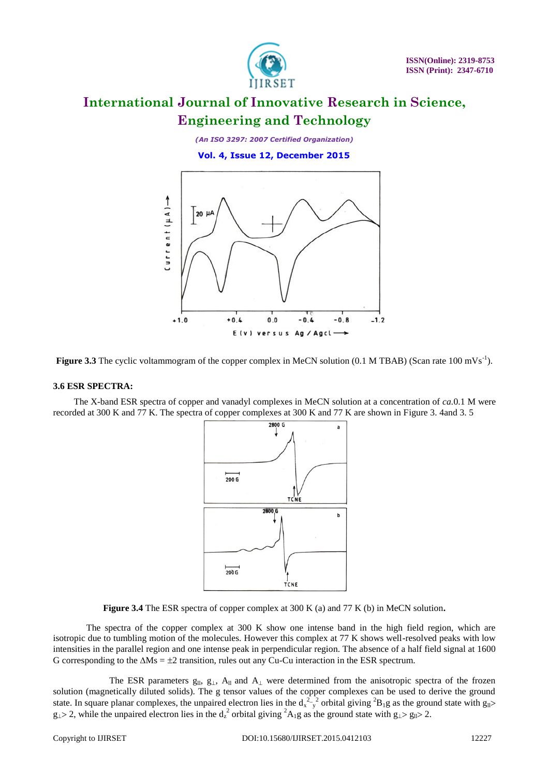

*(An ISO 3297: 2007 Certified Organization)*

 **Vol. 4, Issue 12, December 2015**



Figure 3.3 The cyclic voltammogram of the copper complex in MeCN solution (0.1 M TBAB) (Scan rate 100 mVs<sup>-1</sup>).

#### **3.6 ESR SPECTRA:**

The X-band ESR spectra of copper and vanadyl complexes in MeCN solution at a concentration of *ca.*0.1 M were recorded at 300 K and 77 K. The spectra of copper complexes at 300 K and 77 K are shown in Figure 3. 4and 3. 5



**Figure 3.4** The ESR spectra of copper complex at 300 K (a) and 77 K (b) in MeCN solution**.**

The spectra of the copper complex at 300 K show one intense band in the high field region, which are isotropic due to tumbling motion of the molecules. However this complex at 77 K shows well-resolved peaks with low intensities in the parallel region and one intense peak in perpendicular region. The absence of a half field signal at 1600 G corresponding to the  $\Delta Ms = \pm 2$  transition, rules out any Cu-Cu interaction in the ESR spectrum.

The ESR parameters  $g_{ll}$ ,  $g_{\perp}$ ,  $A_{ll}$  and  $A_{\perp}$  were determined from the anisotropic spectra of the frozen solution (magnetically diluted solids). The g tensor values of the copper complexes can be used to derive the ground state. In square planar complexes, the unpaired electron lies in the  $d_x^2 - y^2$  orbital giving  ${}^2B_1g$  as the ground state with  $g_{ll}$  $g_1 > 2$ , while the unpaired electron lies in the  $d_z^2$  orbital giving  ${}^2A_1g$  as the ground state with  $g_1 > g_1 > 2$ .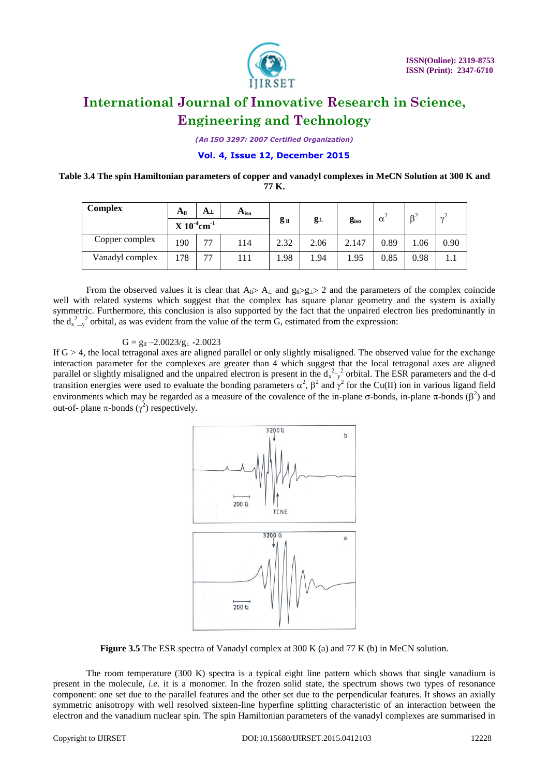

*(An ISO 3297: 2007 Certified Organization)*

# **Vol. 4, Issue 12, December 2015**

### **Table 3.4 The spin Hamiltonian parameters of copper and vanadyl complexes in MeCN Solution at 300 K and 77 K.**

| <b>Complex</b>  | $A_{ll}$                     | A⊥ | A <sub>iso</sub> |                 |             |               |            | $\beta^2$ | $\gamma^2$ |
|-----------------|------------------------------|----|------------------|-----------------|-------------|---------------|------------|-----------|------------|
|                 | $X 10^{-4}$ cm <sup>-1</sup> |    |                  | g <sub>ll</sub> | $g_{\perp}$ | $g_{\rm iso}$ | $\alpha^2$ |           |            |
| Copper complex  | 190                          | 77 | 114              | 2.32            | 2.06        | 2.147         | 0.89       | .06       | 0.90       |
| Vanadyl complex | .78                          | 77 | 111              | 1.98            | 1.94        | 1.95          | 0.85       | 0.98      |            |

From the observed values it is clear that  $A_{\parallel} > A_{\perp}$  and  $g_{\parallel} > g_{\parallel} > 2$  and the parameters of the complex coincide well with related systems which suggest that the complex has square planar geometry and the system is axially symmetric. Furthermore, this conclusion is also supported by the fact that the unpaired electron lies predominantly in the  $d_{x-y}^2$  orbital, as was evident from the value of the term G, estimated from the expression:

### $G = g_{ll} -2.0023/g_{\perp} -2.0023$

If  $G > 4$ , the local tetragonal axes are aligned parallel or only slightly misaligned. The observed value for the exchange interaction parameter for the complexes are greater than 4 which suggest that the local tetragonal axes are aligned parallel or slightly misaligned and the unpaired electron is present in the  $d_x^2$  orbital. The ESR parameters and the d-d transition energies were used to evaluate the bonding parameters  $\alpha^2$ ,  $\beta^2$  and  $\gamma^2$  for the Cu(II) ion in various ligand field environments which may be regarded as a measure of the covalence of the in-plane  $\sigma$ -bonds, in-plane  $\pi$ -bonds ( $\beta^2$ ) and out-of- plane π-bonds  $(γ<sup>2</sup>)$  respectively.



**Figure 3.5** The ESR spectra of Vanadyl complex at 300 K (a) and 77 K (b) in MeCN solution.

The room temperature (300 K) spectra is a typical eight line pattern which shows that single vanadium is present in the molecule, *i.e.* it is a monomer. In the frozen solid state, the spectrum shows two types of resonance component: one set due to the parallel features and the other set due to the perpendicular features. It shows an axially symmetric anisotropy with well resolved sixteen-line hyperfine splitting characteristic of an interaction between the electron and the vanadium nuclear spin. The spin Hamiltonian parameters of the vanadyl complexes are summarised in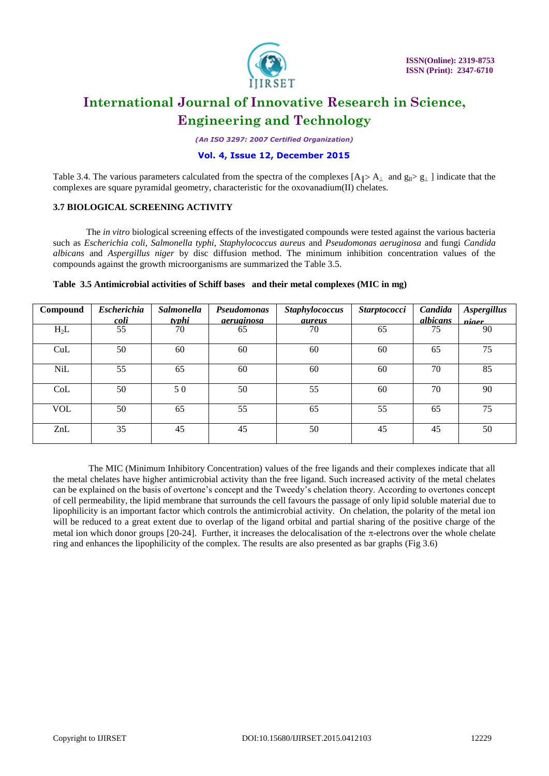

*(An ISO 3297: 2007 Certified Organization)*

### **Vol. 4, Issue 12, December 2015**

Table 3.4. The various parameters calculated from the spectra of the complexes  $[A_\parallel > A_\perp$  and  $g_\parallel > g_\perp$  ] indicate that the complexes are square pyramidal geometry, characteristic for the oxovanadium(II) chelates.

# **3.7 BIOLOGICAL SCREENING ACTIVITY**

The *in vitro* biological screening effects of the investigated compounds were tested against the various bacteria such as *Escherichia coli, Salmonella typhi, Staphylococcus aureus* and *Pseudomonas aeruginosa* and fungi *Candida albicans* and *Aspergillus niger* by disc diffusion method. The minimum inhibition concentration values of the compounds against the growth microorganisms are summarized the Table 3.5.

| Compound   | <b>Escherichia</b><br><u>coli</u> | Salmonella<br><u>typhi</u> | Pseudomonas<br><i>aeruginosa</i> | <b>Staphylococcus</b><br><i>aureus</i> | <b>Starptococci</b> | Candida<br>albicans | <b>Aspergillus</b><br>nioor |
|------------|-----------------------------------|----------------------------|----------------------------------|----------------------------------------|---------------------|---------------------|-----------------------------|
| $H_2L$     | 55                                | 70                         | 65                               | 70                                     | 65                  | 75                  | 90                          |
| CuL        | 50                                | 60                         | 60                               | 60                                     | 60                  | 65                  | 75                          |
| <b>NiL</b> | 55                                | 65                         | 60                               | 60                                     | 60                  | 70                  | 85                          |
| CoL        | 50                                | 50                         | 50                               | 55                                     | 60                  | 70                  | 90                          |
| <b>VOL</b> | 50                                | 65                         | 55                               | 65                                     | 55                  | 65                  | 75                          |
| ZnL        | 35                                | 45                         | 45                               | 50                                     | 45                  | 45                  | 50                          |

#### **Table 3.5 Antimicrobial activities of Schiff bases and their metal complexes (MIC in mg)**

The MIC (Minimum Inhibitory Concentration) values of the free ligands and their complexes indicate that all the metal chelates have higher antimicrobial activity than the free ligand. Such increased activity of the metal chelates can be explained on the basis of overtone's concept and the Tweedy's chelation theory. According to overtones concept of cell permeability, the lipid membrane that surrounds the cell favours the passage of only lipid soluble material due to lipophilicity is an important factor which controls the antimicrobial activity. On chelation, the polarity of the metal ion will be reduced to a great extent due to overlap of the ligand orbital and partial sharing of the positive charge of the metal ion which donor groups  $[20-24]$ . Further, it increases the delocalisation of the  $\pi$ -electrons over the whole chelate ring and enhances the lipophilicity of the complex. The results are also presented as bar graphs (Fig 3.6)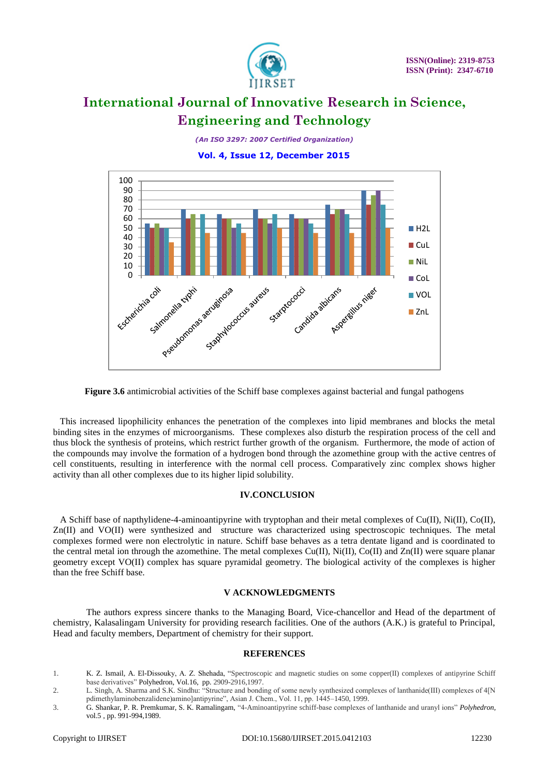

*(An ISO 3297: 2007 Certified Organization)*

 **Vol. 4, Issue 12, December 2015**



**Figure 3.6** antimicrobial activities of the Schiff base complexes against bacterial and fungal pathogens

 This increased lipophilicity enhances the penetration of the complexes into lipid membranes and blocks the metal binding sites in the enzymes of microorganisms. These complexes also disturb the respiration process of the cell and thus block the synthesis of proteins, which restrict further growth of the organism. Furthermore, the mode of action of the compounds may involve the formation of a hydrogen bond through the azomethine group with the active centres of cell constituents, resulting in interference with the normal cell process. Comparatively zinc complex shows higher activity than all other complexes due to its higher lipid solubility.

### **IV.CONCLUSION**

A Schiff base of napthylidene-4-aminoantipyrine with tryptophan and their metal complexes of Cu(II), Ni(II), Co(II), Zn(II) and VO(II) were synthesized and structure was characterized using spectroscopic techniques. The metal complexes formed were non electrolytic in nature. Schiff base behaves as a tetra dentate ligand and is coordinated to the central metal ion through the azomethine. The metal complexes  $Cu(II)$ ,  $Ni(II)$ ,  $Co(II)$  and  $Zn(II)$  were square planar geometry except VO(II) complex has square pyramidal geometry. The biological activity of the complexes is higher than the free Schiff base.

### **V ACKNOWLEDGMENTS**

The authors express sincere thanks to the Managing Board, Vice-chancellor and Head of the department of chemistry, Kalasalingam University for providing research facilities. One of the authors (A.K.) is grateful to Principal, Head and faculty members, Department of chemistry for their support.

#### **REFERENCES**

- 1. K. Z. Ismail*,* A. El-Dissouky, A. Z. Shehada, "Spectroscopic and magnetic studies on some copper(II) complexes of antipyrine Schiff base derivatives" Polyhedron, Vol.16, pp. 2909-2916,1997.
- 2. L. Singh, A. Sharma and S.K. Sindhu: "Structure and bonding of some newly synthesized complexes of lanthanide(III) complexes of 4[N pdimethylaminobenzalidene)amino]antipyrine", Asian J. Chem., Vol. 11, pp. 1445–1450, 1999.
- 3. G. Shankar, P. R. Premkumar, S. K. Ramalingam, "4-Aminoantipyrine schiff-base complexes of lanthanide and uranyl ions" *Polyhedron*, vol.5 , pp. 991-994,1989.